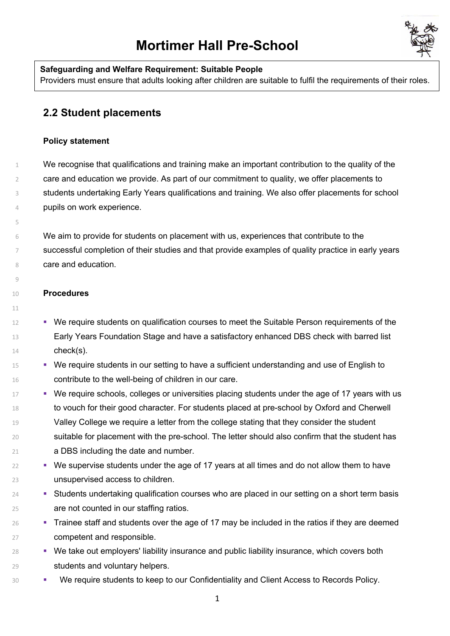# **Mortimer Hall Pre-School**

## **Safeguarding and Welfare Requirement: Suitable People**

Providers must ensure that adults looking after children are suitable to fulfil the requirements of their roles.

# **2.2 Student placements**

#### **Policy statement**

 We recognise that qualifications and training make an important contribution to the quality of the care and education we provide. As part of our commitment to quality, we offer placements to students undertaking Early Years qualifications and training. We also offer placements for school pupils on work experience.

 We aim to provide for students on placement with us, experiences that contribute to the successful completion of their studies and that provide examples of quality practice in early years care and education.

#### **Procedures**

- **EXECUTE:** We require students on qualification courses to meet the Suitable Person requirements of the Early Years Foundation Stage and have a satisfactory enhanced DBS check with barred list check(s).
- <sup>15</sup> We require students in our setting to have a sufficient understanding and use of English to contribute to the well-being of children in our care.
- <sup>17</sup> We require schools, colleges or universities placing students under the age of 17 years with us to vouch for their good character. For students placed at pre-school by Oxford and Cherwell 19 Valley College we require a letter from the college stating that they consider the student suitable for placement with the pre-school. The letter should also confirm that the student has a DBS including the date and number.
- <sup>22</sup> We supervise students under the age of 17 years at all times and do not allow them to have unsupervised access to children.
- <sup>24</sup> Students undertaking qualification courses who are placed in our setting on a short term basis are not counted in our staffing ratios.
- <sup>26</sup> Trainee staff and students over the age of 17 may be included in the ratios if they are deemed competent and responsible.
- § We take out employers' liability insurance and public liability insurance, which covers both students and voluntary helpers.
- 30 We require students to keep to our Confidentiality and Client Access to Records Policy.